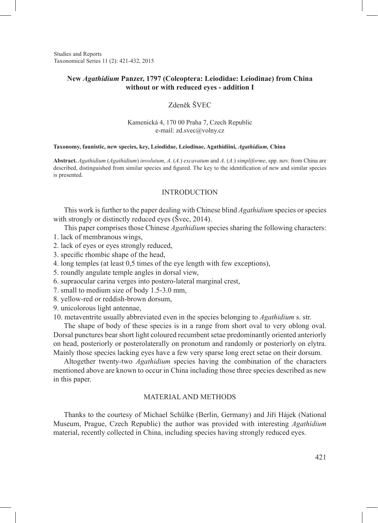Studies and Reports Taxonomical Series 11 (2): 421-432, 2015

## **New** *Agathidium* **Panzer, 1797 (Coleoptera: Leiodidae: Leiodinae) from China without or with reduced eyes - addition I**

# Zdeněk ŠVEC

#### Kamenická 4, 170 00 Praha 7, Czech Republic e-mail: zd.svec@volny.cz

#### **Taxonomy, faunistic, new species, key, Leiodidae, Leiodinae, Agathidiini,** *Agathidium,* **China**

**Abstract.** *Agathidium* (*Agathidium*) *involutum*, *A*. (*A.*) *excavatum* and *A*. (*A*.) *simpliforme*, spp. nov. from China are described, distinguished from similar species and figured. The key to the identification of new and similar species is presented.

#### INTRODUCTION

This work is further to the paper dealing with Chinese blind *Agathidium* species or species with strongly or distinctly reduced eyes (Švec, 2014).

This paper comprises those Chinese *Agathidium* species sharing the following characters:

- 1. lack of membranous wings,
- 2. lack of eyes or eyes strongly reduced,
- 3. specific rhombic shape of the head,
- 4. long temples (at least 0,5 times of the eye length with few exceptions),
- 5. roundly angulate temple angles in dorsal view,
- 6. supraocular carina verges into postero-lateral marginal crest,
- 7. small to medium size of body 1.5-3.0 mm,
- 8. yellow-red or reddish-brown dorsum,
- 9. unicolorous light antennae,

10. metaventrite usually abbreviated even in the species belonging to *Agathidium* s. str.

The shape of body of these species is in a range from short oval to very oblong oval. Dorsal punctures bear short light coloured recumbent setae predominantly oriented anteriorly on head, posteriorly or posterolaterally on pronotum and randomly or posteriorly on elytra. Mainly those species lacking eyes have a few very sparse long erect setae on their dorsum.

Altogether twenty-two *Agathidium* species having the combination of the characters mentioned above are known to occur in China including those three species described as new in this paper.

#### MATERIAL AND METHODS

Thanks to the courtesy of Michael Schülke (Berlin, Germany) and Jiří Hájek (National Museum, Prague, Czech Republic) the author was provided with interesting *Agathidium*  material, recently collected in China, including species having strongly reduced eyes.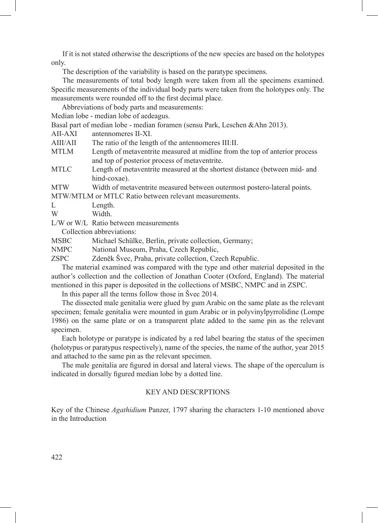If it is not stated otherwise the descriptions of the new species are based on the holotypes only.

The description of the variability is based on the paratype specimens.

The measurements of total body length were taken from all the specimens examined. Specific measurements of the individual body parts were taken from the holotypes only. The measurements were rounded off to the first decimal place.

Abbreviations of body parts and measurements:

Median lobe - median lobe of aedeagus.

Basal part of median lobe - median foramen (sensu Park, Leschen &Ahn 2013).

AII-AXI antennomeres II-XI.<br>AIII/AII The ratio of the leng

The ratio of the length of the antennomeres III:II.

- MTLM Length of metaventrite measured at midline from the top of anterior process and top of posterior process of metaventrite.
- MTLC Length of metaventrite measured at the shortest distance (between mid- and hind-coxae).

MTW Width of metaventrite measured between outermost postero-lateral points.

MTW/MTLM or MTLC Ratio between relevant measurements.

- L Length.
- W Width.
- L/W or W/L Ratio between measurements

Collection abbreviations:

MSBC Michael Schülke, Berlin, private collection, Germany;

- NMPC National Museum, Praha, Czech Republic,
- ZSPC Zdeněk Švec, Praha, private collection, Czech Republic.

The material examined was compared with the type and other material deposited in the author's collection and the collection of Jonathan Cooter (Oxford, England). The material mentioned in this paper is deposited in the collections of MSBC, NMPC and in ZSPC.

In this paper all the terms follow those in Švec 2014.

The dissected male genitalia were glued by gum Arabic on the same plate as the relevant specimen; female genitalia were mounted in gum Arabic or in polyvinylpyrrolidine (Lompe 1986) on the same plate or on a transparent plate added to the same pin as the relevant specimen.

Each holotype or paratype is indicated by a red label bearing the status of the specimen (holotypus or paratypus respectively), name of the species, the name of the author, year 2015 and attached to the same pin as the relevant specimen.

The male genitalia are figured in dorsal and lateral views. The shape of the operculum is indicated in dorsally figured median lobe by a dotted line.

## KEY AND DESCRPTIONS

Key of the Chinese *Agathidium* Panzer, 1797 sharing the characters 1-10 mentioned above in the Introduction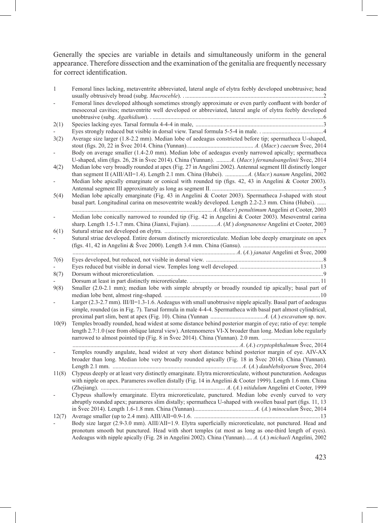Generally the species are variable in details and simultaneously uniform in the general appearance. Therefore dissection and the examination of the genitalia are frequently necessary for correct identification.

| $\mathbf{1}$ | Femoral lines lacking, metaventrite abbreviated, lateral angle of elytra feebly developed unobtrusive; head                                                                                                       |
|--------------|-------------------------------------------------------------------------------------------------------------------------------------------------------------------------------------------------------------------|
|              |                                                                                                                                                                                                                   |
|              | Femoral lines developed although sometimes strongly approximate or even partly confluent with border of                                                                                                           |
|              | mesocoxal cavities; metaventrite well developed or abbreviated, lateral angle of elytra feebly developed                                                                                                          |
|              |                                                                                                                                                                                                                   |
| 2(1)         |                                                                                                                                                                                                                   |
|              |                                                                                                                                                                                                                   |
| 3(2)         | Average size larger (1.8-2.2 mm). Median lobe of aedeagus constricted before tip; spermatheca U-shaped,                                                                                                           |
|              |                                                                                                                                                                                                                   |
|              | Body on average smaller (1.4-2.0 mm). Median lobe of aedeagus evenly narrowed apically; spermatheca<br>U-shaped, slim (figs. 26, 28 in Švec 2014). China (Yunnan).  A. (Macr.) fernandoangelinii Švec, 2014       |
| 4(2)         | Median lobe very broadly rounded at apex (Fig. 27 in Angelini 2002). Antennal segment III distinctly longer                                                                                                       |
|              |                                                                                                                                                                                                                   |
|              | Median lobe apically emarginate or conical with rounded tip (figs. 42, 43 in Angelini & Cooter 2003).                                                                                                             |
|              |                                                                                                                                                                                                                   |
| 5(4)         | Median lobe apically emarginate (Fig. 43 in Angelini & Cooter 2003). Spermatheca J-shaped with stout                                                                                                              |
|              | basal part. Longitudinal carina on mesoventrite weakly developed. Length 2.2-2.3 mm. China (Hubei).                                                                                                               |
|              |                                                                                                                                                                                                                   |
|              |                                                                                                                                                                                                                   |
|              | Median lobe conically narrowed to rounded tip (Fig. 42 in Angelini & Cooter 2003). Mesoventral carina                                                                                                             |
|              |                                                                                                                                                                                                                   |
| 6(1)         |                                                                                                                                                                                                                   |
|              | Sutural striae developed. Entire dorsum distinctly microreticulate. Median lobe deeply emarginate on apex                                                                                                         |
|              |                                                                                                                                                                                                                   |
|              |                                                                                                                                                                                                                   |
| 7(6)         |                                                                                                                                                                                                                   |
|              |                                                                                                                                                                                                                   |
| 8(7)         |                                                                                                                                                                                                                   |
|              |                                                                                                                                                                                                                   |
| 9(8)         | Smaller (2.0-2.1 mm); median lobe with simple abruptly or broadly rounded tip apically; basal part of                                                                                                             |
|              |                                                                                                                                                                                                                   |
|              | Larger (2.3-2.7 mm). III/II=1.3-1.6. Aedeagus with small unobtrusive nipple apically. Basal part of aedeagus                                                                                                      |
|              | simple, rounded (as in Fig. 7). Tarsal formula in male 4-4-4. Spermatheca with basal part almost cylindrical,                                                                                                     |
|              |                                                                                                                                                                                                                   |
| 10(9)        | Temples broadly rounded, head widest at some distance behind posterior margin of eye; ratio of eye: temple                                                                                                        |
|              | length 2.7:1.0 (see from oblique lateral view). Antennomeres VI-X broader than long. Median lobe regularly                                                                                                        |
|              |                                                                                                                                                                                                                   |
|              |                                                                                                                                                                                                                   |
|              | Temples roundly angulate, head widest at very short distance behind posterior margin of eye. AIV-AX                                                                                                               |
|              | broader than long. Median lobe very broadly rounded apically (Fig. 18 in Švec 2014). China (Yunnan).                                                                                                              |
|              |                                                                                                                                                                                                                   |
|              |                                                                                                                                                                                                                   |
| 11(8)        | Clypeus deeply or at least very distinctly emarginate. Elytra microreticulate, without puncturation. Aedeagus                                                                                                     |
|              | with nipple on apex. Parameres swollen distally (Fig. 14 in Angelini & Cooter 1999). Length 1.6 mm. China                                                                                                         |
|              |                                                                                                                                                                                                                   |
|              | Clypeus shallowly emarginate. Elytra microreticulate, punctured. Median lobe evenly curved to very                                                                                                                |
|              | abruptly rounded apex; parameres slim distally; spermatheca U-shaped with swollen basal part (figs. 11, 13                                                                                                        |
|              |                                                                                                                                                                                                                   |
| 12(7)        |                                                                                                                                                                                                                   |
|              | Body size larger (2.9-3.0 mm). AIII/AII=1.9. Elytra superficially microreticulate, not punctured. Head and                                                                                                        |
|              |                                                                                                                                                                                                                   |
|              | pronotum smooth but punctured. Head with short temples (at most as long as one-third length of eyes).<br>Aedeagus with nipple apically (Fig. 28 in Angelini 2002). China (Yunnan) A. (A.) michaeli Angelini, 2002 |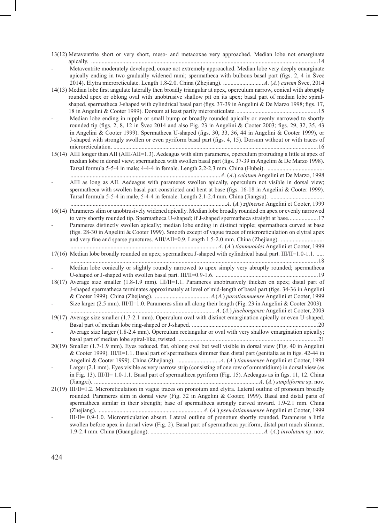13(12) Metaventrite short or very short, meso- and metacoxae very approached. Median lobe not emarginate apically. .........................................................................................................................................................14

- Metaventrite moderately developed, coxae not extremely approached. Median lobe very deeply emarginate apically ending in two gradually widened rami; spermatheca with bulbous basal part (figs. 2, 4 in Švec 2014). Elytra microreticulate. Length 1.8-2.0. China (Zhejiang). ...........................*A*. (*A*.) *cavum* Švec, 2014

14(13) Median lobe first angulate laterally then broadly triangular at apex, operculum narrow, conical with abruptly rounded apex or oblong oval with unobtrusive shallow pit on its apex; basal part of median lobe spiralshaped, spermatheca J-shaped with cylindrical basal part (figs. 37-39 in Angelini & De Marzo 1998; figs. 17, 18 in Angelini & Cooter 1999). Dorsum at least partly microreticulate........................................................15

- Median lobe ending in nipple or small bump or broadly rounded apically or evenly narrowed to shortly rounded tip (figs. 2, 8, 12 in Švec 2014 and also Fig. 23 in Angelini & Cooter 2003; figs. 29, 32, 35, 43 in Angelini & Cooter 1999). Spermatheca U-shaped (figs. 30, 33, 36, 44 in Angelini & Cooter 1999), or J-shaped with strongly swollen or even pyriform basal part (figs. 4, 15). Dorsum without or with traces of microreticulation. ..........................................................................................................................................16

15(14) AIII longer than AII (AIII/AII=1.3). Aedeagus with slim parameres, operculum protruding a little at apex of median lobe in dorsal view; spermatheca with swollen basal part (figs. 37-39 in Angelini & De Marzo 1998). Tarsal formula 5-5-4 in male; 4-4-4 in female. Length 2.2-2.3 mm. China (Hubei). ......................................

.....................................................................................................*A*. (*A*.) *celatum* Angelini et De Marzo, 1998 AIII as long as AII. Aedeagus with parameres swollen apically, operculum not visible in dorsal view; spermatheca with swollen basal part constricted and bent at base (figs. 16-18 in Angelini & Cooter 1999). Tarsal formula 5-5-4 in male, 5-4-4 in female. Length 2.1-2.4 mm. China (Jiangsu). ....................................

.........................................................................................................*A.* (*A.*) *zijinense* Angelini et Cooter, 1999 16(14) Parameres slim or unobtrusively widened apically. Median lobe broadly rounded on apex or evenly narrowed to very shortly rounded tip. Spermatheca U-shaped; if J-shaped spermatheca straight at base....................17

Parameres distinctly swollen apically; median lobe ending in distinct nipple; spermatheca curved at base (figs. 28-30 in Angelini & Cooter 1999). Smooth except of vague traces of microreticulation on elytral apex and very fine and sparse punctures. AIII/AII=0.9. Length 1.5-2.0 mm. China (Zhejiang). ............................. ................................................................................................... *A*. (*A.*) *tianmuoides* Angelini et Cooter, 1999

17(16) Median lobe broadly rounded on apex; spermatheca J-shaped with cylindrical basal part. III/II=1.0-1.1. .....

.......................................................................................................................................................................18 - Median lobe conically or slightly roundly narrowed to apex simply very abruptly rounded; spermatheca U-shaped or J-shaped with swollen basal part. III/II=0.9-1.6. .....................................................................19 18(17) Average size smaller (1.8-1.9 mm). III/II=1.1. Parameres unobtrusively thicken on apex; distal part of

J-shaped spermatheca terminates approximately at level of mid-length of basal part (figs. 34-36 in Angelini & Cooter 1999). China (Zhejiang). .....................................*A.*(*A.*) *paratianmuense* Angelini et Cooter, 1999 Size larger (2.5 mm). III/II=1.0. Parameres slim all along their length (Fig. 23 in Angelini & Cooter 2003).

..................................................................................................*A*. (*A*.) *jiuchongense* Angelini et Cooter, 2003 19(17) Average size smaller (1.7-2.1 mm). Operculum oval with distinct emargination apically or even U-shaped. Basal part of median lobe ring-shaped or J-shaped. .....................................................................................20

Average size larger (1.8-2.4 mm). Operculum rectangular or oval with very shallow emargination apically; basal part of median lobe spiral-like, twisted. ..............................................................................................21

<sup>20(19)</sup> Smaller (1.7-1.9 mm). Eyes reduced, flat, oblong oval but well visible in dorsal view (Fig. 40 in Angelini & Cooter 1999). III/II=1.1. Basal part of spermatheca slimmer than distal part (genitalia as in figs. 42-44 in Angelini & Cooter 1999). China (Zhejiang). .............................*A*. (*A.*) *tianmuense* Angelini et Cooter, 1999 Larger (2.1 mm). Eyes visible as very narrow strip (consisting of one row of ommatidium) in dorsal view (as in Fig. 13). III/II= 1.0-1.1. Basal part of spermatheca pyriform (Fig. 15). Aedeagus as in figs. 11, 12. China

<sup>(</sup>Jiangxi). ...............................................................................................................*A*. (*A.*) *simpliforme* sp. nov. 21(19) III/II=1.2. Microreticulation in vague traces on pronotum and elytra. Lateral outline of pronotum broadly rounded. Parameres slim in dorsal view (Fig. 32 in Angelini & Cooter, 1999). Basal and distal parts of spermatheca similar in their strength; base of spermatheca strongly curved inward. 1.9-2.1 mm. China (Zhejiang). ...................................................................... *A*. (*A.*) *pseudotianmuense* Angelini et Cooter, 1999 - III/II= 0.9-1.0. Microreticulation absent. Lateral outline of pronotum shortly rounded. Parameres a little swollen before apex in dorsal view (Fig. 2). Basal part of spermatheca pyriform, distal part much slimmer. 1.9-2.4 mm. China (Guangdong). ............................................................................*A.* (*A.*) *involutum* sp. nov.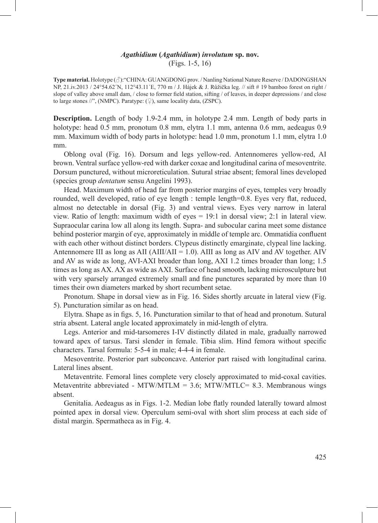#### *Agathidium* **(***Agathidium***)** *involutum* **sp. nov.** (Figs. 1-5, 16)

**Type material.** Holotype (♂):"CHINA: GUANGDONG prov. / Nanling National Nature Reserve / DADONGSHAN NP, 21.iv.2013 / 24°54.62´N, 112°43.11´E, 770 m / J. Hájek & J. Růžička leg. // sift # 19 bamboo forest on right / slope of valley above small dam, / close to former field station, sifting / of leaves, in deeper depressions / and close to large stones //", (NMPC). Paratype:  $(\frac{6}{4})$ , same locality data, (ZSPC).

**Description.** Length of body 1.9-2.4 mm, in holotype 2.4 mm. Length of body parts in holotype: head 0.5 mm, pronotum 0.8 mm, elytra 1.1 mm, antenna 0.6 mm, aedeagus 0.9 mm. Maximum width of body parts in holotype: head 1.0 mm, pronotum 1.1 mm, elytra 1.0 mm.

Oblong oval (Fig. 16). Dorsum and legs yellow-red. Antennomeres yellow-red, AI brown. Ventral surface yellow-red with darker coxae and longitudinal carina of mesoventrite. Dorsum punctured, without microreticulation. Sutural striae absent; femoral lines developed (species group *dentatum* sensu Angelini 1993).

Head. Maximum width of head far from posterior margins of eyes, temples very broadly rounded, well developed, ratio of eye length : temple length=0.8. Eyes very flat, reduced, almost no detectable in dorsal (Fig. 3) and ventral views. Eyes very narrow in lateral view. Ratio of length: maximum width of eyes = 19:1 in dorsal view; 2:1 in lateral view. Supraocular carina low all along its length. Supra- and subocular carina meet some distance behind posterior margin of eye, approximately in middle of temple arc. Ommatidia confluent with each other without distinct borders. Clypeus distinctly emarginate, clypeal line lacking. Antennomere III as long as AII ( $\text{AlII/AlI} = 1.0$ ). AIII as long as AIV and AV together. AIV and AV as wide as long, AVI-AXI broader than long, AXI 1.2 times broader than long; 1.5 times as long as AX. AX as wide as AXI. Surface of head smooth, lacking microsculpture but with very sparsely arranged extremely small and fine punctures separated by more than 10 times their own diameters marked by short recumbent setae.

Pronotum. Shape in dorsal view as in Fig. 16. Sides shortly arcuate in lateral view (Fig. 5). Puncturation similar as on head.

Elytra. Shape as in figs. 5, 16. Puncturation similar to that of head and pronotum. Sutural stria absent. Lateral angle located approximately in mid-length of elytra.

Legs. Anterior and mid-tarsomeres I-IV distinctly dilated in male, gradually narrowed toward apex of tarsus. Tarsi slender in female. Tibia slim. Hind femora without specific characters. Tarsal formula: 5-5-4 in male; 4-4-4 in female.

Mesoventrite. Posterior part subconcave. Anterior part raised with longitudinal carina. Lateral lines absent.

Metaventrite. Femoral lines complete very closely approximated to mid-coxal cavities. Metaventrite abbreviated - MTW/MTLM = 3.6; MTW/MTLC= 8.3. Membranous wings absent.

Genitalia. Aedeagus as in Figs. 1-2. Median lobe flatly rounded laterally toward almost pointed apex in dorsal view. Operculum semi-oval with short slim process at each side of distal margin. Spermatheca as in Fig. 4.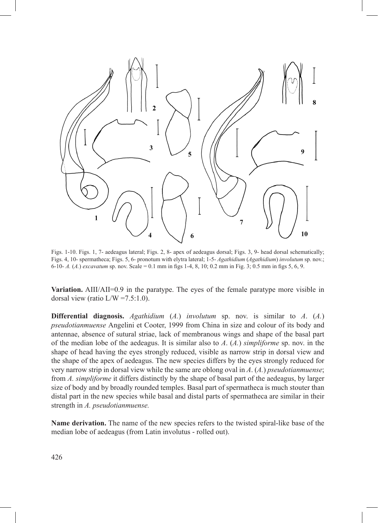

Figs. 1-10. Figs. 1, 7- aedeagus lateral; Figs. 2, 8- apex of aedeagus dorsal; Figs. 3, 9- head dorsal schematically; Figs. 4, 10- spermatheca; Figs. 5, 6- pronotum with elytra lateral; 1-5- *Agathidium* (*Agathidium*) *involutum* sp. nov.; 6-10- *A.* (*A.*) *excavatum* sp. nov. Scale = 0.1 mm in figs 1-4, 8, 10; 0.2 mm in Fig. 3; 0.5 mm in figs 5, 6, 9.

**Variation.** AIII/AII=0.9 in the paratype. The eyes of the female paratype more visible in dorsal view (ratio  $L/W = 7.5:1.0$ ).

**Differential diagnosis.** *Agathidium* (*A.*) *involutum* sp. nov. is similar to *A*. (*A.*) *pseudotianmuense* Angelini et Cooter, 1999 from China in size and colour of its body and antennae, absence of sutural striae, lack of membranous wings and shape of the basal part of the median lobe of the aedeagus. It is similar also to *A*. (*A.*) *simpliforme* sp. nov. in the shape of head having the eyes strongly reduced, visible as narrow strip in dorsal view and the shape of the apex of aedeagus. The new species differs by the eyes strongly reduced for very narrow strip in dorsal view while the same are oblong oval in *A*. (*A.*) *pseudotianmuense*; from *A. simpliforme* it differs distinctly by the shape of basal part of the aedeagus, by larger size of body and by broadly rounded temples. Basal part of spermatheca is much stouter than distal part in the new species while basal and distal parts of spermatheca are similar in their strength in *A. pseudotianmuense.*

**Name derivation.** The name of the new species refers to the twisted spiral-like base of the median lobe of aedeagus (from Latin involutus - rolled out).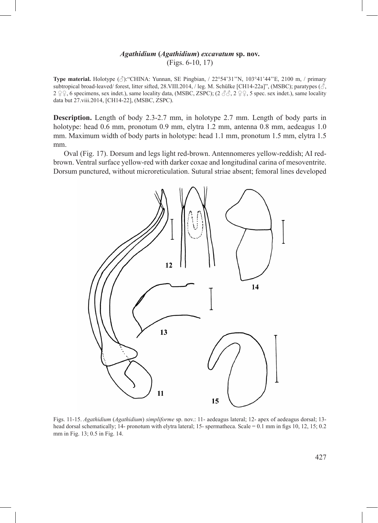## *Agathidium* **(***Agathidium***)** *excavatum* **sp. nov.** (Figs. 6-10, 17)

**Type material.** Holotype  $(\delta)$ : "CHINA: Yunnan, SE Pingbian, / 22°54'31''N, 103°41'44"E, 2100 m, / primary subtropical broad-leaved/ forest, litter sifted, 28.VIII.2014, / leg. M. Schülke [CH14-22a]", (MSBC); paratypes ( $\vec{\Diamond}$ , 2  $\Sigma$ , 6 specimens, sex indet.), same locality data, (MSBC, ZSPC); (2  $\Im$   $\Im$ , 2  $\Sigma$ , 5 spec. sex indet.), same locality data but 27.viii.2014, [CH14-22], (MSBC, ZSPC).

**Description.** Length of body 2.3-2.7 mm, in holotype 2.7 mm. Length of body parts in holotype: head 0.6 mm, pronotum 0.9 mm, elytra 1.2 mm, antenna 0.8 mm, aedeagus 1.0 mm. Maximum width of body parts in holotype: head 1.1 mm, pronotum 1.5 mm, elytra 1.5 mm.

Oval (Fig. 17). Dorsum and legs light red-brown. Antennomeres yellow-reddish; AI redbrown. Ventral surface yellow-red with darker coxae and longitudinal carina of mesoventrite. Dorsum punctured, without microreticulation. Sutural striae absent; femoral lines developed



Figs. 11-15. *Agathidium* (*Agathidium*) *simpliforme* sp. nov.: 11- aedeagus lateral; 12- apex of aedeagus dorsal; 13 head dorsal schematically; 14- pronotum with elytra lateral; 15- spermatheca. Scale = 0.1 mm in figs 10, 12, 15; 0.2 mm in Fig. 13; 0.5 in Fig. 14.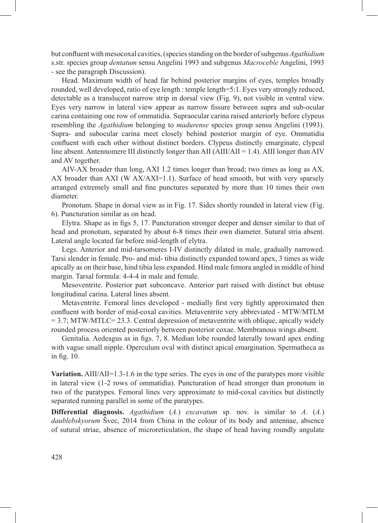but confluent with mesocoxal cavities, (species standing on the border of subgenus *Agathidium* s.str. species group *dentatum* sensu Angelini 1993 and subgenus *Macroceble* Angelini, 1993 - see the paragraph Discussion).

Head. Maximum width of head far behind posterior margins of eyes, temples broadly rounded, well developed, ratio of eye length : temple length=5:1. Eyes very strongly reduced, detectable as a translucent narrow strip in dorsal view (Fig. 9), not visible in ventral view. Eyes very narrow in lateral view appear as narrow fissure between supra and sub-ocular carina containing one row of ommatidia. Supraocular carina raised anteriorly before clypeus resembling the *Agathidium* belonging to *madurense* species group sensu Angelini (1993). Supra- and subocular carina meet closely behind posterior margin of eye. Ommatidia confluent with each other without distinct borders. Clypeus distinctly emarginate, clypeal line absent. Antennomere III distinctly longer than AII (AIII/AII = 1.4). AIII longer than AIV and AV together.

AIV-AX broader than long, AXI 1.2 times longer than broad; two times as long as AX. AX broader than AXI (W AX/AXI=1.1). Surface of head smooth, but with very sparsely arranged extremely small and fine punctures separated by more than 10 times their own diameter.

Pronotum. Shape in dorsal view as in Fig. 17. Sides shortly rounded in lateral view (Fig. 6). Puncturation similar as on head.

Elytra. Shape as in figs 5, 17. Puncturation stronger deeper and denser similar to that of head and pronotum, separated by about 6-8 times their own diameter. Sutural stria absent. Lateral angle located far before mid-length of elytra.

Legs. Anterior and mid-tarsomeres I-IV distinctly dilated in male, gradually narrowed. Tarsi slender in female. Pro- and mid- tibia distinctly expanded toward apex, 3 times as wide apically as on their base, hind tibia less expanded. Hind male femora angled in middle of hind margin. Tarsal formula: 4-4-4 in male and female.

Mesoventrite. Posterior part subconcave. Anterior part raised with distinct but obtuse longitudinal carina. Lateral lines absent.

Metaventrite. Femoral lines developed - medially first very tightly approximated then confluent with border of mid-coxal cavities. Metaventrite very abbreviated - MTW/MTLM  $= 3.7$ ; MTW/MTLC= 23.3. Central depression of metaventrite with oblique, apically widely rounded process oriented posteriorly between posterior coxae. Membranous wings absent.

Genitalia. Aedeagus as in figs. 7, 8. Median lobe rounded laterally toward apex ending with vague small nipple. Operculum oval with distinct apical emargination. Spermatheca as in fig. 10.

**Variation.** AIII/AII=1.3-1.6 in the type series. The eyes in one of the paratypes more visible in lateral view (1-2 rows of ommatidia). Puncturation of head stronger than pronotum in two of the paratypes. Femoral lines very approximate to mid-coxal cavities but distinctly separated running parallel in some of the paratypes.

**Differential diagnosis.** *Agathidium* (*A.*) *excavatum* sp. nov. is similar to *A*. (*A.*) *daublebskyorum* Švec, 2014 from China in the colour of its body and antennae, absence of sutural striae, absence of microreticulation, the shape of head having roundly angulate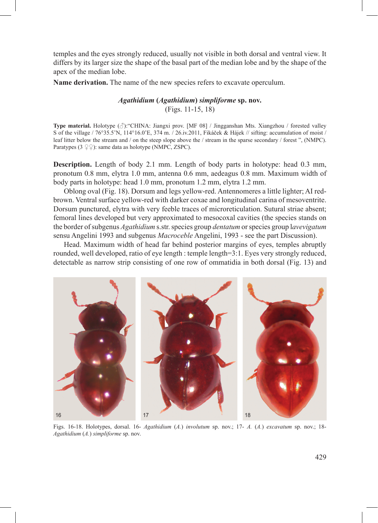temples and the eyes strongly reduced, usually not visible in both dorsal and ventral view. It differs by its larger size the shape of the basal part of the median lobe and by the shape of the apex of the median lobe.

**Name derivation.** The name of the new species refers to excavate operculum.

# *Agathidium* **(***Agathidium***)** *simpliforme* **sp. nov.** (Figs. 11-15, 18)

**Type material.** Holotype (♂):"CHINA: Jiangxi prov. [MF 08] / Jingganshan Mts. Xiangzhou / forested valley S of the village / 76°35.5'N, 114°16.0'E, 374 m. / 26.iv.2011, Fikáček & Hájek // sifting: accumulation of moist / leaf litter below the stream and / on the steep slope above the / stream in the sparse secondary / forest ", (NMPC). Paratypes ( $3 \nsubseteq \nsubseteq$ ): same data as holotype (NMPC, ZSPC).

**Description.** Length of body 2.1 mm. Length of body parts in holotype: head 0.3 mm, pronotum 0.8 mm, elytra 1.0 mm, antenna 0.6 mm, aedeagus 0.8 mm. Maximum width of body parts in holotype: head 1.0 mm, pronotum 1.2 mm, elytra 1.2 mm.

Oblong oval (Fig. 18). Dorsum and legs yellow-red. Antennomeres a little lighter; AI redbrown. Ventral surface yellow-red with darker coxae and longitudinal carina of mesoventrite. Dorsum punctured, elytra with very feeble traces of microreticulation. Sutural striae absent; femoral lines developed but very approximated to mesocoxal cavities (the species stands on the border of subgenus *Agathidium* s.str. species group *dentatum* or species group l*avevigatum* sensu Angelini 1993 and subgenus *Macroceble* Angelini, 1993 - see the part Discussion).

Head. Maximum width of head far behind posterior margins of eyes, temples abruptly rounded, well developed, ratio of eye length : temple length=3:1. Eyes very strongly reduced, detectable as narrow strip consisting of one row of ommatidia in both dorsal (Fig. 13) and



Figs. 16-18. Holotypes, dorsal. 16- *Agathidium* (*A.*) *involutum* sp. nov.; 17- *A.* (*A.*) *excavatum* sp. nov.; 18- *Agathidium* (*A.*) *simpliforme* sp. nov.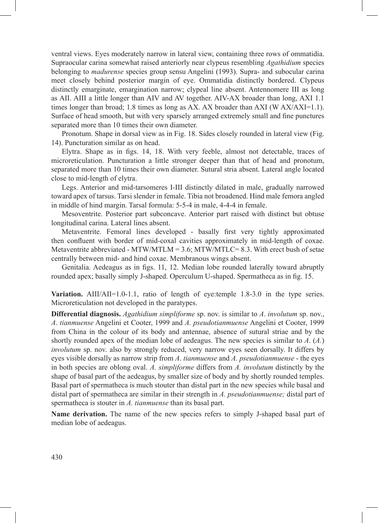ventral views. Eyes moderately narrow in lateral view, containing three rows of ommatidia. Supraocular carina somewhat raised anteriorly near clypeus resembling *Agathidium* species belonging to *madurense* species group sensu Angelini (1993). Supra- and subocular carina meet closely behind posterior margin of eye. Ommatidia distinctly bordered. Clypeus distinctly emarginate, emargination narrow; clypeal line absent. Antennomere III as long as AII. AIII a little longer than AIV and AV together. AIV-AX broader than long, AXI 1.1 times longer than broad; 1.8 times as long as AX. AX broader than AXI (W AX/AXI=1.1). Surface of head smooth, but with very sparsely arranged extremely small and fine punctures separated more than 10 times their own diameter.

Pronotum. Shape in dorsal view as in Fig. 18. Sides closely rounded in lateral view (Fig. 14). Puncturation similar as on head.

Elytra. Shape as in figs. 14, 18. With very feeble, almost not detectable, traces of microreticulation. Puncturation a little stronger deeper than that of head and pronotum, separated more than 10 times their own diameter. Sutural stria absent. Lateral angle located close to mid-length of elytra.

Legs. Anterior and mid-tarsomeres I-III distinctly dilated in male, gradually narrowed toward apex of tarsus. Tarsi slender in female. Tibia not broadened. Hind male femora angled in middle of hind margin. Tarsal formula: 5-5-4 in male, 4-4-4 in female.

Mesoventrite. Posterior part subconcave. Anterior part raised with distinct but obtuse longitudinal carina. Lateral lines absent.

Metaventrite. Femoral lines developed - basally first very tightly approximated then confluent with border of mid-coxal cavities approximately in mid-length of coxae. Metaventrite abbreviated - MTW/MTLM =  $3.6$ ; MTW/MTLC=  $8.3$ . With erect bush of setae centrally between mid- and hind coxae. Membranous wings absent.

Genitalia. Aedeagus as in figs. 11, 12. Median lobe rounded laterally toward abruptly rounded apex; basally simply J-shaped. Operculum U-shaped. Spermatheca as in fig. 15.

**Variation.** AIII/AII=1.0-1.1, ratio of length of eye: temple 1.8-3.0 in the type series. Microreticulation not developed in the paratypes.

**Differential diagnosis.** *Agathidium simpliforme* sp. nov. is similar to *A*. *involutum* sp. nov., *A*. *tianmuense* Angelini et Cooter, 1999 and *A. pseudotianmuense* Angelini et Cooter, 1999 from China in the colour of its body and antennae, absence of sutural striae and by the shortly rounded apex of the median lobe of aedeagus. The new species is similar to *A*. (*A.*) *involutum* sp. nov. also by strongly reduced, very narrow eyes seen dorsally. It differs by eyes visible dorsally as narrow strip from *A*. *tianmuense* and *A. pseudotianmuense* - the eyes in both species are oblong oval. *A. simpliforme* differs from *A. involutum* distinctly by the shape of basal part of the aedeagus, by smaller size of body and by shortly rounded temples. Basal part of spermatheca is much stouter than distal part in the new species while basal and distal part of spermatheca are similar in their strength in *A. pseudotianmuense;* distal part of spermatheca is stouter in *A. tianmuense* than its basal part.

**Name derivation.** The name of the new species refers to simply J-shaped basal part of median lobe of aedeagus.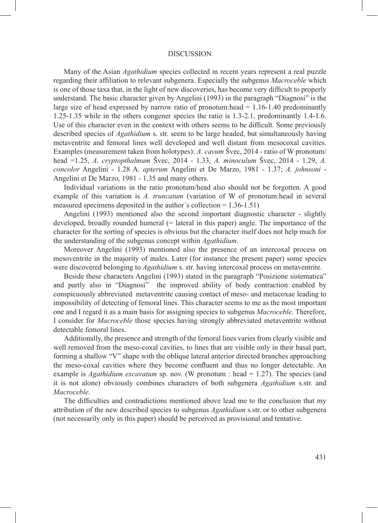#### DISCUSSION

Many of the Asian *Agathidium* species collected in recent years represent a real puzzle regarding their affiliation to relevant subgenera. Especially the subgenus *Macroceble* which is one of those taxa that, in the light of new discoveries, has become very difficult to properly understand. The basic character given by Angelini (1993) in the paragraph "Diagnosi" is the large size of head expressed by narrow ratio of pronotum: head  $= 1.16-1.40$  predominantly 1.25-1.35 while in the others congener species the ratio is 1.3-2.1, predominantly 1.4-1.6. Use of this character even in the context with others seems to be difficult. Some previously described species of *Agathidium* s. str. seem to be large headed, but simultaneously having metaventrite and femoral lines well developed and well distant from mesocoxal cavities. Examples (measurement taken from holotypes): *A. cavum* Švec, 2014 - ratio of W pronotum/ head =1.25, *A. cryptopthalmum* Švec, 2014 - 1.33, *A. minoculum* Švec, 2014 - 1.29, *A. concolor* Angelini - 1.28 A*. apterum* Angelini et De Marzo, 1981 - 1.37; *A. johnsoni* - Angelini et De Marzo, 1981 - 1.35 and many others.

Individual variations in the ratio pronotum/head also should not be forgotten. A good example of this variation is *A. truncatum* (variation of W of pronotum:head in several measured specimens deposited in the author´s collection = 1.36-1.51)

Angelini (1993) mentioned also the second important diagnostic character - slightly developed, broadly rounded humeral (= lateral in this paper) angle. The importance of the character for the sorting of species is obvious but the character itself does not help much for the understanding of the subgenus concept within *Agathidium*.

Moreover Angelini (1993) mentioned also the presence of an intercoxal process on mesoventrite in the majority of males. Later (for instance the present paper) some species were discovered belonging to *Agathidium* s. str. having intercoxal process on metaventrite.

Beside these characters Angelini (1993) stated in the paragraph "Posizione sistematica" and partly also in "Diagnosi" the improved ability of body contraction enabled by conspicuously abbreviated metaventrite causing contact of meso- and metacoxae leading to impossibility of detecting of femoral lines. This character seems to me as the most important one and I regard it as a main basis for assigning species to subgenus *Macroceble*. Therefore, I consider for *Macroceble* those species having strongly abbreviated metaventrite without detectable femoral lines.

Additionally, the presence and strength of the femoral lines varies from clearly visible and well removed from the meso-coxal cavities, to lines that are visible only in their basal part, forming a shallow "V" shape with the oblique lateral anterior directed branches approaching the meso-coxal cavities where they become confluent and thus no longer detectable. An example is *Agathidium excavatum* sp. nov. (W pronotum : head = 1.27). The species (and it is not alone) obviously combines characters of both subgenera *Agathidium* s.str. and *Macroceble*.

The difficulties and contradictions mentioned above lead me to the conclusion that my attribution of the new described species to subgenus *Agathidium* s.str. or to other subgenera (not necessarily only in this paper) should be perceived as provisional and tentative.